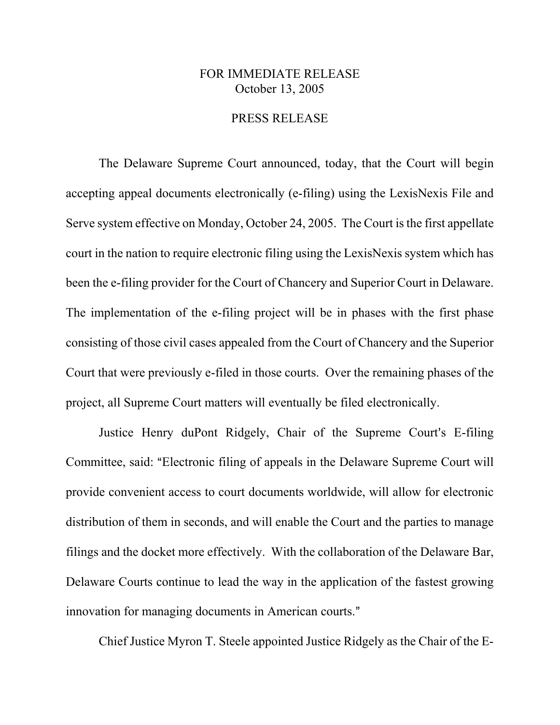## FOR IMMEDIATE RELEASE October 13, 2005

## PRESS RELEASE

The Delaware Supreme Court announced, today, that the Court will begin accepting appeal documents electronically (e-filing) using the LexisNexis File and Serve system effective on Monday, October 24, 2005. The Court is the first appellate court in the nation to require electronic filing using the LexisNexis system which has been the e-filing provider for the Court of Chancery and Superior Court in Delaware. The implementation of the e-filing project will be in phases with the first phase consisting of those civil cases appealed from the Court of Chancery and the Superior Court that were previously e-filed in those courts. Over the remaining phases of the project, all Supreme Court matters will eventually be filed electronically.

Justice Henry duPont Ridgely, Chair of the Supreme Court's E-filing Committee, said: "Electronic filing of appeals in the Delaware Supreme Court will provide convenient access to court documents worldwide, will allow for electronic distribution of them in seconds, and will enable the Court and the parties to manage filings and the docket more effectively. With the collaboration of the Delaware Bar, Delaware Courts continue to lead the way in the application of the fastest growing innovation for managing documents in American courts."

Chief Justice Myron T. Steele appointed Justice Ridgely as the Chair of the E-